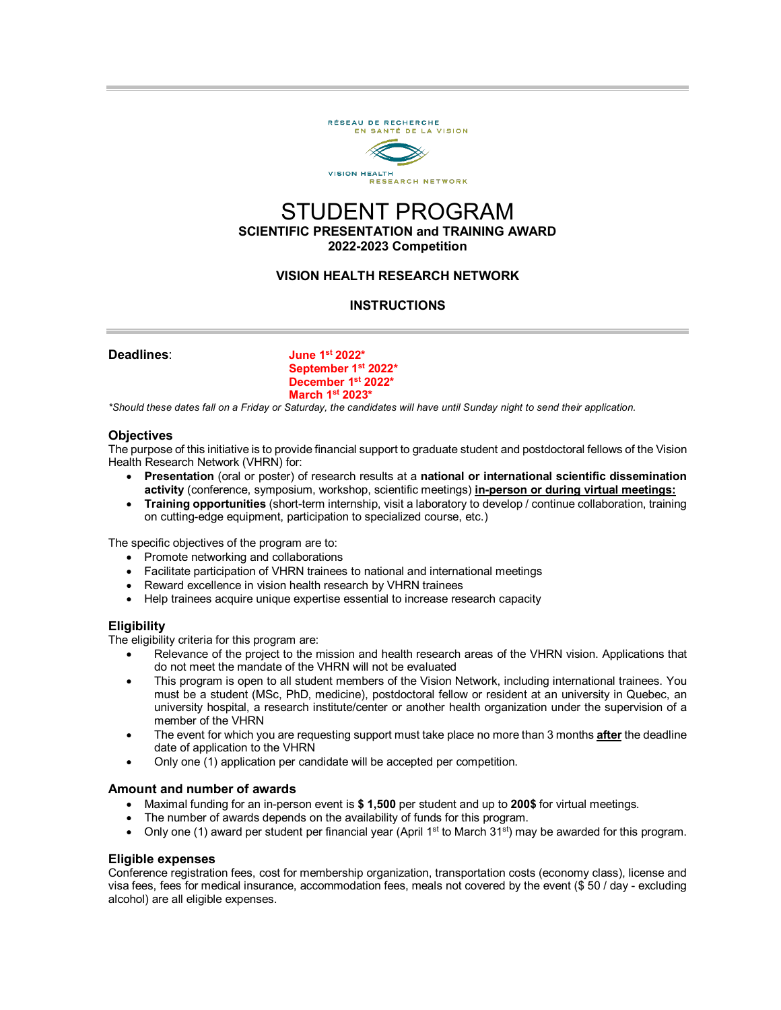

# STUDENT PROGRAM **SCIENTIFIC PRESENTATION and TRAINING AWARD 2022-2023 Competition**

## **VISION HEALTH RESEARCH NETWORK**

## **INSTRUCTIONS**

**Deadlines**: **June 1st 2022\* September 1st 2022\* December 1st 2022\* March 1st 2023\***

*\*Should these dates fall on a Friday or Saturday, the candidates will have until Sunday night to send their application.*

#### **Objectives**

The purpose of this initiative is to provide financial support to graduate student and postdoctoral fellows of the Vision Health Research Network (VHRN) for:

- **Presentation** (oral or poster) of research results at a **national or international scientific dissemination activity** (conference, symposium, workshop, scientific meetings) **in-person or during virtual meetings:**
- **Training opportunities** (short-term internship, visit a laboratory to develop / continue collaboration, training on cutting-edge equipment, participation to specialized course, etc.)

The specific objectives of the program are to:

- Promote networking and collaborations
- Facilitate participation of VHRN trainees to national and international meetings
- Reward excellence in vision health research by VHRN trainees
- Help trainees acquire unique expertise essential to increase research capacity

#### **Eligibility**

The eligibility criteria for this program are:

- Relevance of the project to the mission and health research areas of the VHRN vision. Applications that do not meet the mandate of the VHRN will not be evaluated
- This program is open to all student members of the Vision Network, including international trainees. You must be a student (MSc, PhD, medicine), postdoctoral fellow or resident at an university in Quebec, an university hospital, a research institute/center or another health organization under the supervision of a member of the VHRN
- The event for which you are requesting support must take place no more than 3 months **after** the deadline date of application to the VHRN
- Only one (1) application per candidate will be accepted per competition.

#### **Amount and number of awards**

- Maximal funding for an in-person event is **\$ 1,500** per student and up to **200\$** for virtual meetings.
- The number of awards depends on the availability of funds for this program.
- Only one (1) award per student per financial year (April 1<sup>st</sup> to March 31<sup>st</sup>) may be awarded for this program.

#### **Eligible expenses**

Conference registration fees, cost for membership organization, transportation costs (economy class), license and visa fees, fees for medical insurance, accommodation fees, meals not covered by the event (\$ 50 / day - excluding alcohol) are all eligible expenses.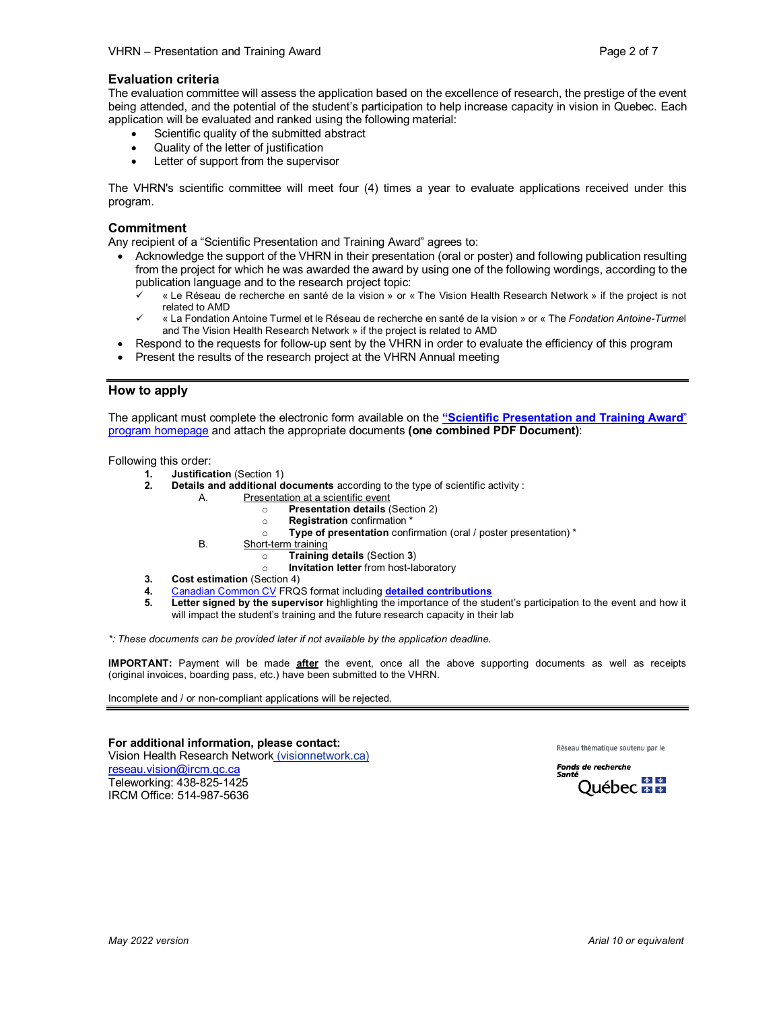#### **Evaluation criteria**

The evaluation committee will assess the application based on the excellence of research, the prestige of the event being attended, and the potential of the student's participation to help increase capacity in vision in Quebec. Each application will be evaluated and ranked using the following material:

- Scientific quality of the submitted abstract
- Quality of the letter of justification
- Letter of support from the supervisor

The VHRN's scientific committee will meet four (4) times a year to evaluate applications received under this program.

#### **Commitment**

Any recipient of a "Scientific Presentation and Training Award" agrees to:

- Acknowledge the support of the VHRN in their presentation (oral or poster) and following publication resulting from the project for which he was awarded the award by using one of the following wordings, according to the publication language and to the research project topic:
	- « Le Réseau de recherche en santé de la vision » or « The Vision Health Research Network » if the project is not related to AMD
	- « La Fondation Antoine Turmel et le Réseau de recherche en santé de la vision » or « The *Fondation Antoine-Turme*l and The Vision Health Research Network » if the project is related to AMD
- Respond to the requests for follow-up sent by the VHRN in order to evaluate the efficiency of this program
- Present the results of the research project at the VHRN Annual meeting

#### **How to apply**

The applicant must complete the electronic form available on the **["Scientific Presentation and Training Award](http://visionnetwork.ca/financement/bourse-de-perfectionnement/)**" [program homepage](http://visionnetwork.ca/financement/bourse-de-perfectionnement/) and attach the appropriate documents **(one combined PDF Document)**:

Following this order:

- **1. Justification** (Section 1)
- **2. Details and additional documents** according to the type of scientific activity :
	- A. Presentation at a scientific event
		- o **Presentation details** (Section 2)
			- **Registration** confirmation \*
		- o **Type of presentation** confirmation (oral / poster presentation) \*
		- B. Short-term training
			- o **Training details** (Section **3**)
				- **Invitation letter** from host-laboratory
- **3. Cost estimation** (Section 4)
- **4.** [Canadian Common CV](https://ccv-cvc.ca/) FRQS format including **[detailed contributions](http://reseauvision.ca/wp-content/uploads/2021/07/directives_contributions_detaillees_frqs-2020.pdf)**<br>**5.** Letter signed by the supervisor highlighting the importance of the stu
- **5. Letter signed by the supervisor** highlighting the importance of the student's participation to the event and how it will impact the student's training and the future research capacity in their lab

*\*: These documents can be provided later if not available by the application deadline.*

**IMPORTANT:** Payment will be made **after** the event, once all the above supporting documents as well as receipts (original invoices, boarding pass, etc.) have been submitted to the VHRN.

Incomplete and / or non-compliant applications will be rejected.

**For additional information, please contact:** Vision Health Research Network (visionnetwork.ca) [reseau.vision@ircm.qc.ca](mailto:reseau.vision@ircm.qc.ca) Teleworking: 438-825-1425 IRCM Office: 514-987-5636

Réseau thématique soutenu par le

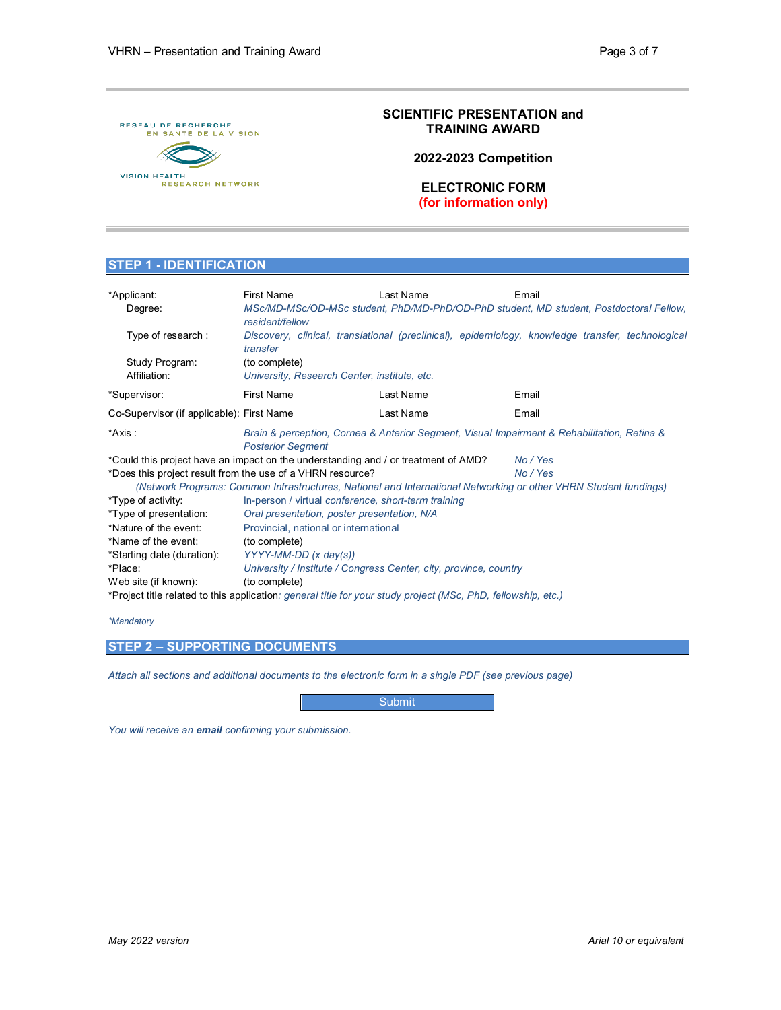

## **SCIENTIFIC PRESENTATION and TRAINING AWARD**

**2022-2023 Competition**

**ELECTRONIC FORM (for information only)**

#### **STEP 1 - IDENTIFICATION**

| *Applicant:<br>Degree:                                                                                           | <b>First Name</b><br>MSc/MD-MSc/OD-MSc student, PhD/MD-PhD/OD-PhD student, MD student, Postdoctoral Fellow,<br>resident/fellow | Last Name |  | Email    |  |  |
|------------------------------------------------------------------------------------------------------------------|--------------------------------------------------------------------------------------------------------------------------------|-----------|--|----------|--|--|
| Type of research:                                                                                                | Discovery, clinical, translational (preclinical), epidemiology, knowledge transfer, technological<br>transfer                  |           |  |          |  |  |
| Study Program:                                                                                                   | (to complete)                                                                                                                  |           |  |          |  |  |
| Affiliation:                                                                                                     | University, Research Center, institute, etc.                                                                                   |           |  |          |  |  |
| *Supervisor:                                                                                                     | <b>First Name</b>                                                                                                              | Last Name |  | Email    |  |  |
| Co-Supervisor (if applicable): First Name                                                                        |                                                                                                                                | Last Name |  | Email    |  |  |
| *Axis :                                                                                                          | Brain & perception, Cornea & Anterior Segment, Visual Impairment & Rehabilitation, Retina &<br><b>Posterior Segment</b>        |           |  |          |  |  |
|                                                                                                                  | *Could this project have an impact on the understanding and / or treatment of AMD?                                             |           |  | No / Yes |  |  |
|                                                                                                                  | *Does this project result from the use of a VHRN resource?                                                                     |           |  | No / Yes |  |  |
| (Network Programs: Common Infrastructures, National and International Networking or other VHRN Student fundings) |                                                                                                                                |           |  |          |  |  |
| *Type of activity:                                                                                               | In-person / virtual conference, short-term training                                                                            |           |  |          |  |  |
| *Type of presentation:                                                                                           | Oral presentation, poster presentation, N/A                                                                                    |           |  |          |  |  |
| *Nature of the event:                                                                                            | Provincial, national or international                                                                                          |           |  |          |  |  |
| *Name of the event:                                                                                              | (to complete)                                                                                                                  |           |  |          |  |  |
| *Starting date (duration):                                                                                       | YYYY-MM-DD (x day(s))                                                                                                          |           |  |          |  |  |
| *Place:                                                                                                          | University / Institute / Congress Center, city, province, country                                                              |           |  |          |  |  |
| Web site (if known):                                                                                             | (to complete)                                                                                                                  |           |  |          |  |  |
| *Project title related to this application: general title for your study project (MSc, PhD, fellowship, etc.)    |                                                                                                                                |           |  |          |  |  |

#### *\*Mandatory*

#### **STEP 2 – SUPPORTING DOCUMENTS**

*Attach all sections and additional documents to the electronic form in a single PDF (see previous page)*

**Submit** 

*You will receive an email confirming your submission.*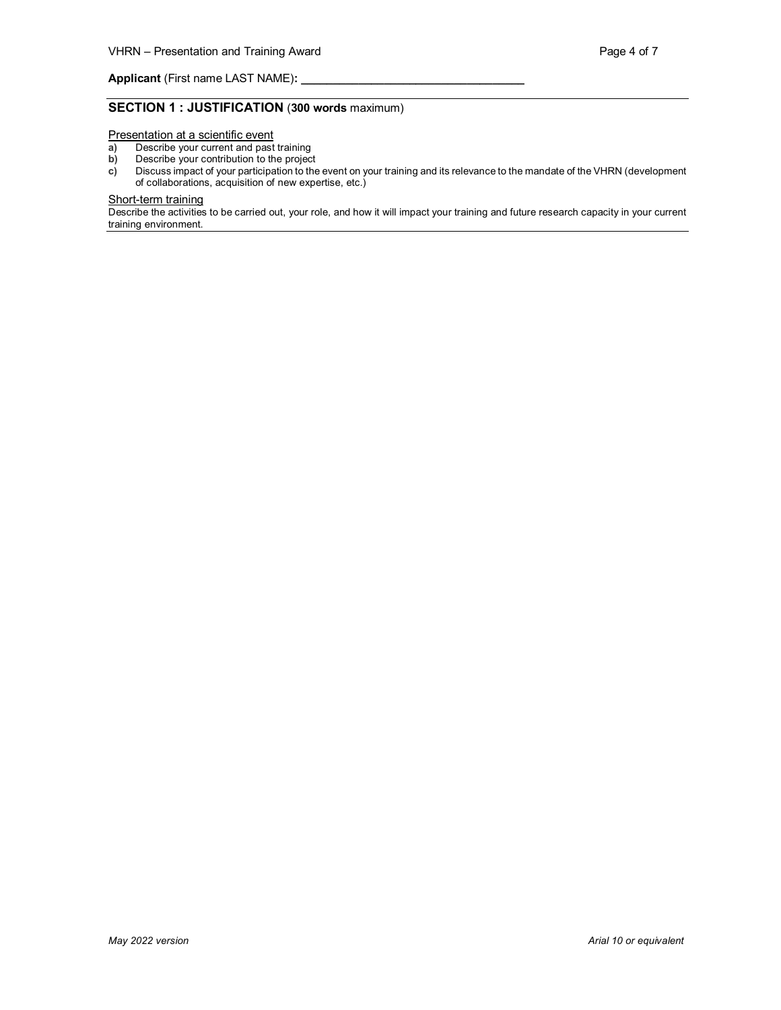**Applicant** (First name LAST NAME):

## **SECTION 1 : JUSTIFICATION** (**300 words** maximum)

Presentation at a scientific event

- **a)** Describe your current and past training
- **b)** Describe your contribution to the project<br>**c)** Discuss impact of your participation to the
- **c)** Discuss impact of your participation to the event on your training and its relevance to the mandate of the VHRN (development of collaborations, acquisition of new expertise, etc.)

#### Short-term training

Describe the activities to be carried out, your role, and how it will impact your training and future research capacity in your current training environment.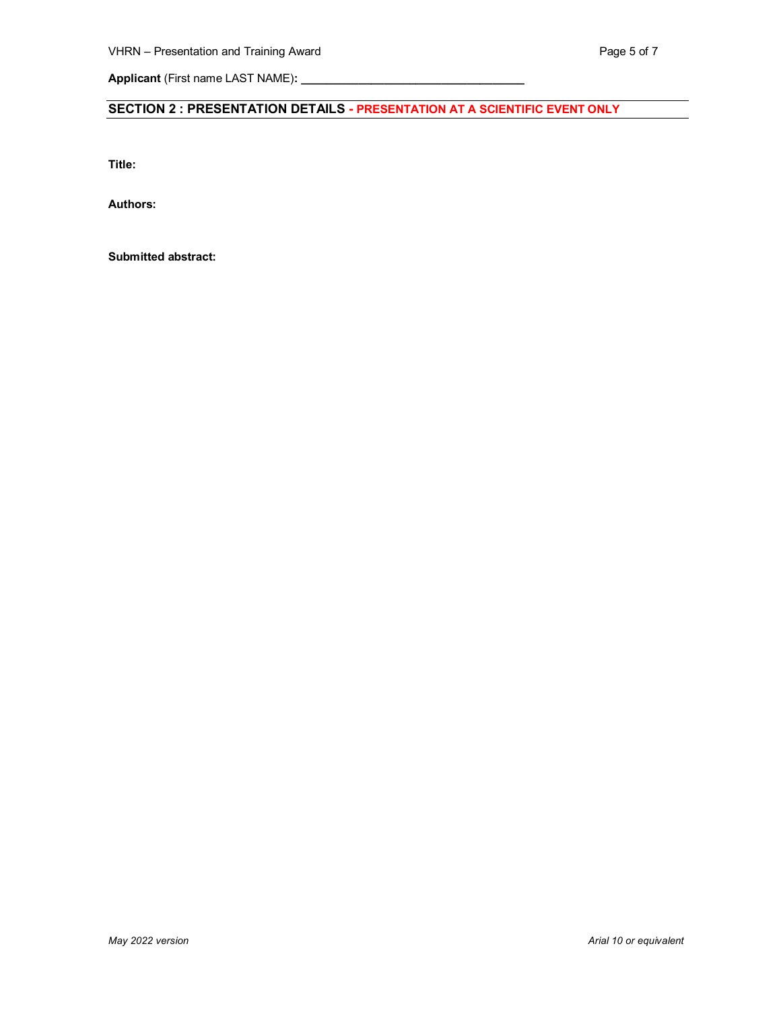**Applicant** (First name LAST NAME)**: \_\_\_\_\_\_\_\_\_\_\_\_\_\_\_\_\_\_\_\_\_\_\_\_\_\_\_\_\_\_\_\_\_\_\_**

# **SECTION 2 : PRESENTATION DETAILS - PRESENTATION AT A SCIENTIFIC EVENT ONLY**

**Title:**

**Authors:** 

**Submitted abstract:**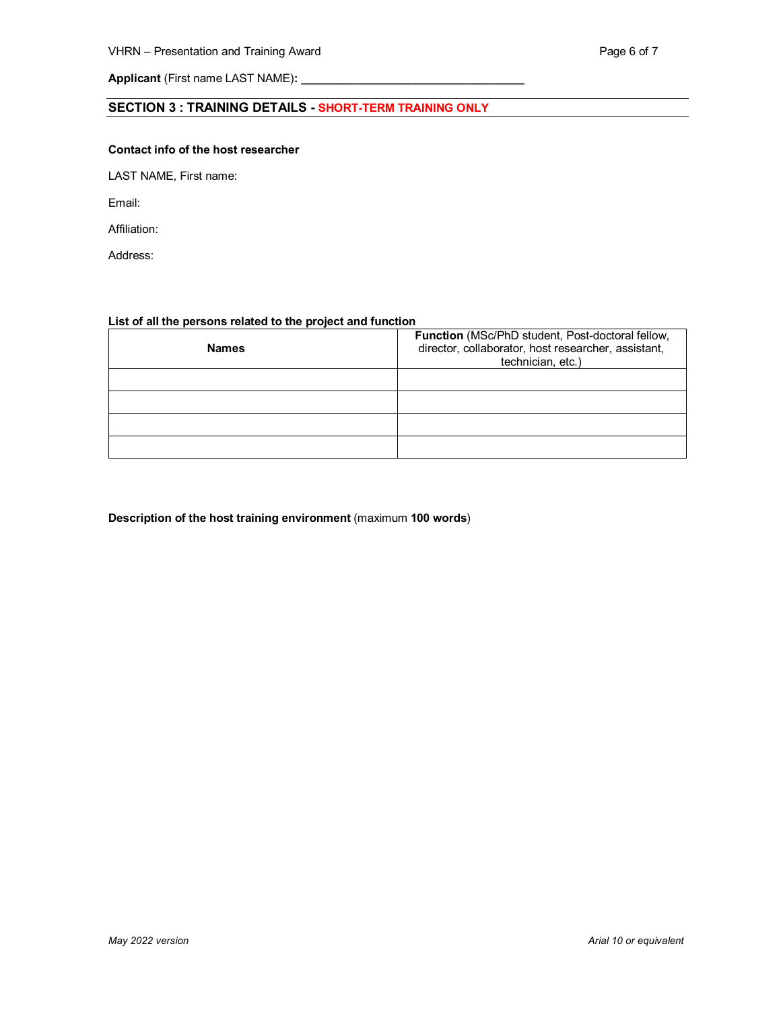Applicant (First name LAST NAME): \_\_

## **SECTION 3 : TRAINING DETAILS - SHORT-TERM TRAINING ONLY**

#### **Contact info of the host researcher**

LAST NAME, First name:

Email:

Affiliation:

Address:

#### **List of all the persons related to the project and function**

| <b>Names</b> | Function (MSc/PhD student, Post-doctoral fellow,<br>director, collaborator, host researcher, assistant,<br>technician, etc.) |  |  |  |  |
|--------------|------------------------------------------------------------------------------------------------------------------------------|--|--|--|--|
|              |                                                                                                                              |  |  |  |  |
|              |                                                                                                                              |  |  |  |  |
|              |                                                                                                                              |  |  |  |  |
|              |                                                                                                                              |  |  |  |  |

#### **Description of the host training environment** (maximum **100 words**)